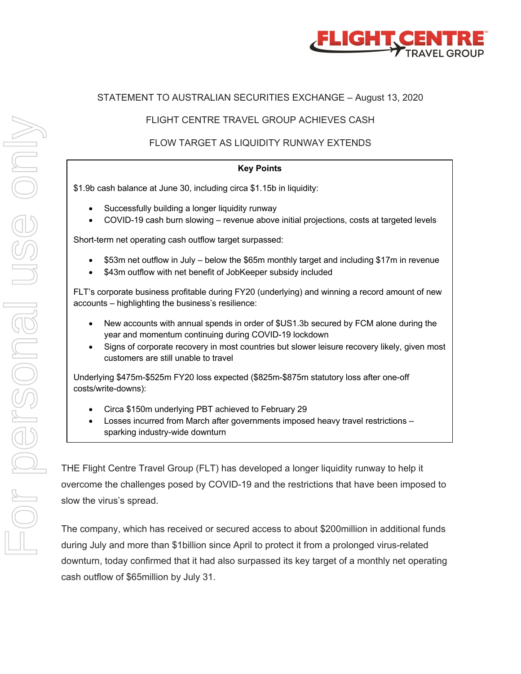

#### STATEMENT TO AUSTRALIAN SECURITIES EXCHANGE – August 13, 2020

#### FLIGHT CENTRE TRAVEL GROUP ACHIEVES CASH

# FLOW TARGET AS LIQUIDITY RUNWAY EXTENDS

#### **Key Points**

\$1.9b cash balance at June 30, including circa \$1.15b in liquidity:

- Successfully building a longer liquidity runway
- COVID-19 cash burn slowing revenue above initial projections, costs at targeted levels

Short-term net operating cash outflow target surpassed:

- \$53m net outflow in July below the \$65m monthly target and including \$17m in revenue
- \$43m outflow with net benefit of JobKeeper subsidy included

FLT's corporate business profitable during FY20 (underlying) and winning a record amount of new accounts – highlighting the business's resilience:

- New accounts with annual spends in order of \$US1.3b secured by FCM alone during the year and momentum continuing during COVID-19 lockdown
- Signs of corporate recovery in most countries but slower leisure recovery likely, given most customers are still unable to travel

Underlying \$475m-\$525m FY20 loss expected (\$825m-\$875m statutory loss after one-off costs/write-downs):

- Circa \$150m underlying PBT achieved to February 29
- Losses incurred from March after governments imposed heavy travel restrictions sparking industry-wide downturn

THE Flight Centre Travel Group (FLT) has developed a longer liquidity runway to help it overcome the challenges posed by COVID-19 and the restrictions that have been imposed to slow the virus's spread.

The company, which has received or secured access to about \$200million in additional funds during July and more than \$1billion since April to protect it from a prolonged virus-related downturn, today confirmed that it had also surpassed its key target of a monthly net operating cash outflow of \$65million by July 31.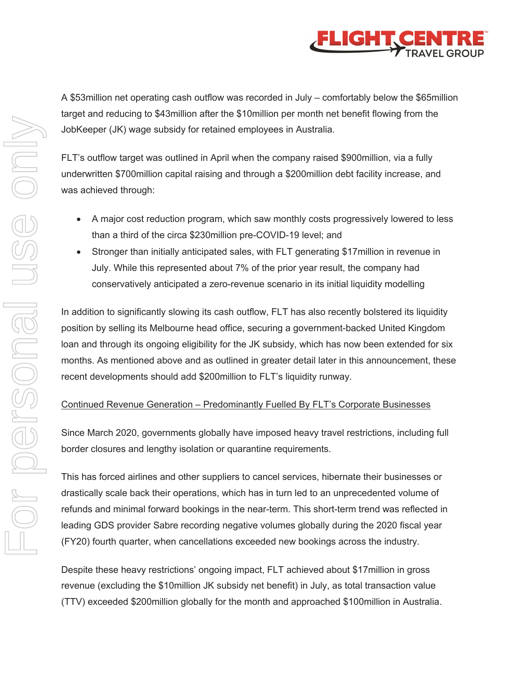

A \$53million net operating cash outflow was recorded in July – comfortably below the \$65million target and reducing to \$43million after the \$10million per month net benefit flowing from the JobKeeper (JK) wage subsidy for retained employees in Australia.

FLT's outflow target was outlined in April when the company raised \$900million, via a fully underwritten \$700million capital raising and through a \$200million debt facility increase, and was achieved through:

- A major cost reduction program, which saw monthly costs progressively lowered to less than a third of the circa \$230million pre-COVID-19 level; and
- Stronger than initially anticipated sales, with FLT generating \$17million in revenue in July. While this represented about 7% of the prior year result, the company had conservatively anticipated a zero-revenue scenario in its initial liquidity modelling

In addition to significantly slowing its cash outflow, FLT has also recently bolstered its liquidity position by selling its Melbourne head office, securing a government-backed United Kingdom loan and through its ongoing eligibility for the JK subsidy, which has now been extended for six months. As mentioned above and as outlined in greater detail later in this announcement, these recent developments should add \$200million to FLT's liquidity runway.

## Continued Revenue Generation – Predominantly Fuelled By FLT's Corporate Businesses

Since March 2020, governments globally have imposed heavy travel restrictions, including full border closures and lengthy isolation or quarantine requirements.

This has forced airlines and other suppliers to cancel services, hibernate their businesses or drastically scale back their operations, which has in turn led to an unprecedented volume of refunds and minimal forward bookings in the near-term. This short-term trend was reflected in leading GDS provider Sabre recording negative volumes globally during the 2020 fiscal year (FY20) fourth quarter, when cancellations exceeded new bookings across the industry.

Despite these heavy restrictions' ongoing impact, FLT achieved about \$17million in gross revenue (excluding the \$10million JK subsidy net benefit) in July, as total transaction value (TTV) exceeded \$200million globally for the month and approached \$100million in Australia.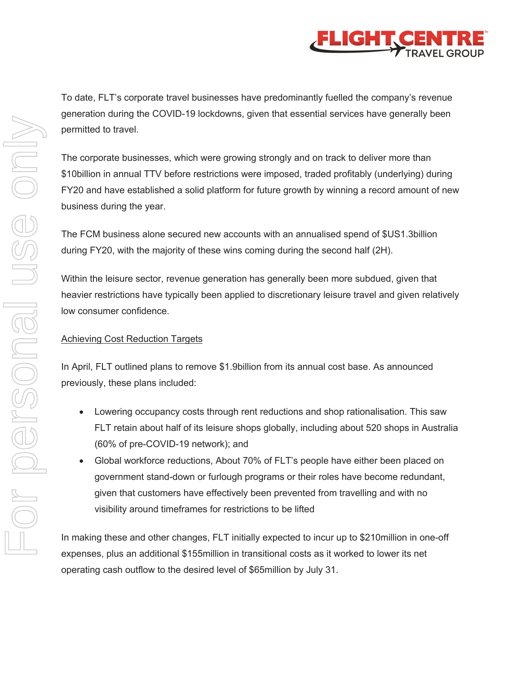

To date, FLT's corporate travel businesses have predominantly fuelled the company's revenue generation during the COVID-19 lockdowns, given that essential services have generally been permitted to travel.

The corporate businesses, which were growing strongly and on track to deliver more than \$10billion in annual TTV before restrictions were imposed, traded profitably (underlying) during FY20 and have established a solid platform for future growth by winning a record amount of new business during the year.

The FCM business alone secured new accounts with an annualised spend of \$US1.3billion during FY20, with the majority of these wins coming during the second half (2H).

Within the leisure sector, revenue generation has generally been more subdued, given that heavier restrictions have typically been applied to discretionary leisure travel and given relatively low consumer confidence.

## Achieving Cost Reduction Targets

In April, FLT outlined plans to remove \$1.9billion from its annual cost base. As announced previously, these plans included:

- Lowering occupancy costs through rent reductions and shop rationalisation. This saw FLT retain about half of its leisure shops globally, including about 520 shops in Australia (60% of pre-COVID-19 network); and
- Global workforce reductions, About 70% of FLT's people have either been placed on government stand-down or furlough programs or their roles have become redundant, given that customers have effectively been prevented from travelling and with no visibility around timeframes for restrictions to be lifted

In making these and other changes, FLT initially expected to incur up to \$210million in one-off expenses, plus an additional \$155million in transitional costs as it worked to lower its net operating cash outflow to the desired level of \$65million by July 31.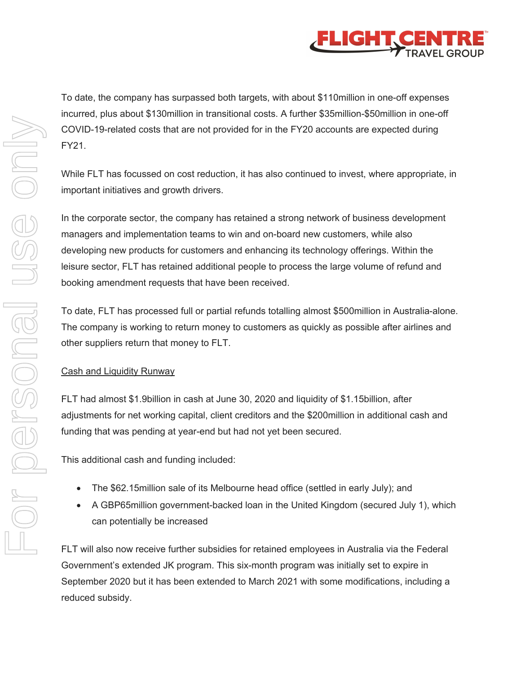

incurred, plus about \$130million in transitional costs. A further \$35million-\$50million in one-off COVID-19-related costs that are not provided for in the FY20 accounts are expected during FY21. While FLT has focussed on cost reduction, it has also continued to invest, where appropriate, in important initiatives and growth drivers. In the corporate sector, the company has retained a strong network of business development managers and implementation teams to win and on-board new customers, while also developing new products for customers and enhancing its technology offerings. Within the leisure sector, FLT has retained additional people to process the large volume of refund and booking amendment requests that have been received.

> To date, FLT has processed full or partial refunds totalling almost \$500million in Australia-alone. The company is working to return money to customers as quickly as possible after airlines and other suppliers return that money to FLT.

To date, the company has surpassed both targets, with about \$110million in one-off expenses

# Cash and Liquidity Runway

FLT had almost \$1.9billion in cash at June 30, 2020 and liquidity of \$1.15billion, after adjustments for net working capital, client creditors and the \$200million in additional cash and funding that was pending at year-end but had not yet been secured.

This additional cash and funding included:

- The \$62.15million sale of its Melbourne head office (settled in early July); and
- A GBP65million government-backed loan in the United Kingdom (secured July 1), which can potentially be increased

FLT will also now receive further subsidies for retained employees in Australia via the Federal Government's extended JK program. This six-month program was initially set to expire in September 2020 but it has been extended to March 2021 with some modifications, including a reduced subsidy.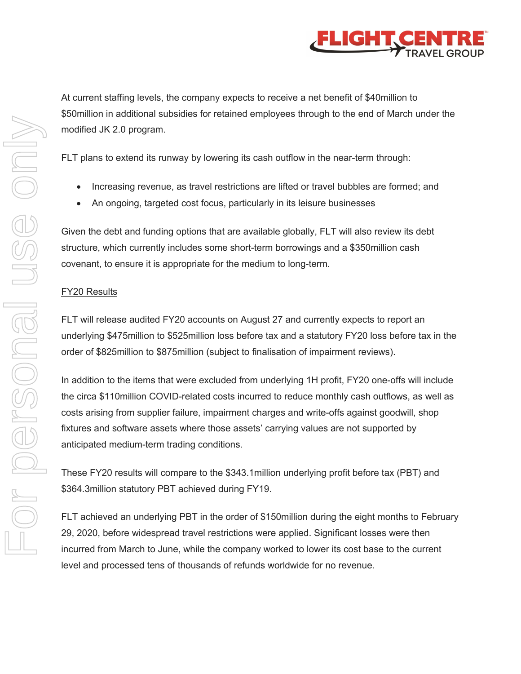

At current staffing levels, the company expects to receive a net benefit of \$40million to \$50million in additional subsidies for retained employees through to the end of March under the modified JK 2.0 program.

FLT plans to extend its runway by lowering its cash outflow in the near-term through:

- Increasing revenue, as travel restrictions are lifted or travel bubbles are formed; and
- An ongoing, targeted cost focus, particularly in its leisure businesses

Given the debt and funding options that are available globally, FLT will also review its debt structure, which currently includes some short-term borrowings and a \$350million cash covenant, to ensure it is appropriate for the medium to long-term.

## FY20 Results

FLT will release audited FY20 accounts on August 27 and currently expects to report an underlying \$475million to \$525million loss before tax and a statutory FY20 loss before tax in the order of \$825million to \$875million (subject to finalisation of impairment reviews).

In addition to the items that were excluded from underlying 1H profit, FY20 one-offs will include the circa \$110million COVID-related costs incurred to reduce monthly cash outflows, as well as costs arising from supplier failure, impairment charges and write-offs against goodwill, shop fixtures and software assets where those assets' carrying values are not supported by anticipated medium-term trading conditions.

These FY20 results will compare to the \$343.1million underlying profit before tax (PBT) and \$364.3million statutory PBT achieved during FY19.

FLT achieved an underlying PBT in the order of \$150million during the eight months to February 29, 2020, before widespread travel restrictions were applied. Significant losses were then incurred from March to June, while the company worked to lower its cost base to the current level and processed tens of thousands of refunds worldwide for no revenue.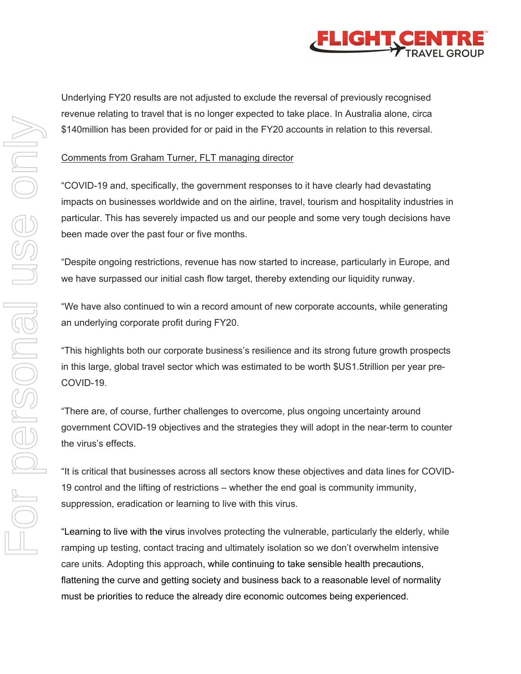

Underlying FY20 results are not adjusted to exclude the reversal of previously recognised revenue relating to travel that is no longer expected to take place. In Australia alone, circa \$140million has been provided for or paid in the FY20 accounts in relation to this reversal.

#### Comments from Graham Turner, FLT managing director

"COVID-19 and, specifically, the government responses to it have clearly had devastating impacts on businesses worldwide and on the airline, travel, tourism and hospitality industries in particular. This has severely impacted us and our people and some very tough decisions have been made over the past four or five months.

"Despite ongoing restrictions, revenue has now started to increase, particularly in Europe, and we have surpassed our initial cash flow target, thereby extending our liquidity runway.

"We have also continued to win a record amount of new corporate accounts, while generating an underlying corporate profit during FY20.

"This highlights both our corporate business's resilience and its strong future growth prospects in this large, global travel sector which was estimated to be worth \$US1.5trillion per year pre-COVID-19.

"There are, of course, further challenges to overcome, plus ongoing uncertainty around government COVID-19 objectives and the strategies they will adopt in the near-term to counter the virus's effects.

"It is critical that businesses across all sectors know these objectives and data lines for COVID-19 control and the lifting of restrictions – whether the end goal is community immunity, suppression, eradication or learning to live with this virus.

"Learning to live with the virus involves protecting the vulnerable, particularly the elderly, while ramping up testing, contact tracing and ultimately isolation so we don't overwhelm intensive care units. Adopting this approach, while continuing to take sensible health precautions, flattening the curve and getting society and business back to a reasonable level of normality must be priorities to reduce the already dire economic outcomes being experienced.